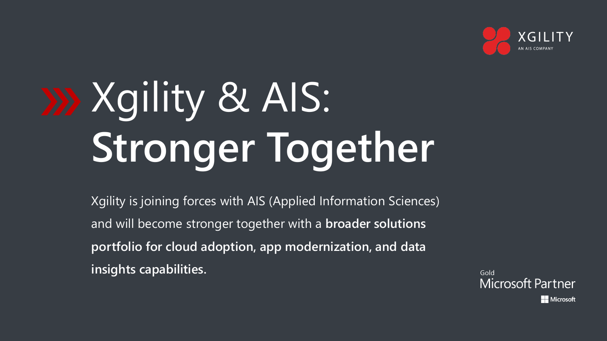

# Xgility & AIS: **Stronger Together**

Xgility is joining forces with AIS (Applied Information Sciences) and will become stronger together with a **broader solutions portfolio for cloud adoption, app modernization, and data insights capabilities.** 

Gold **Microsoft Partner Microsoft**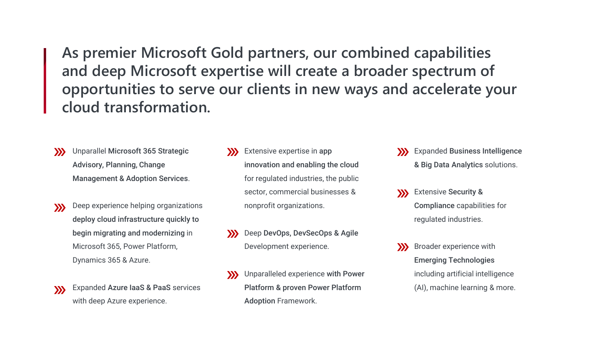**As premier Microsoft Gold partners, our combined capabilities and deep Microsoft expertise will create a broader spectrum of opportunities to serve our clients in new ways and accelerate your cloud transformation.**

- Unparallel Microsoft 365 Strategic  $\sum$ Advisory, Planning, Change Management & Adoption Services.
- Deep experience helping organizations  $\mathbf{y}$ deploy cloud infrastructure quickly to begin migrating and modernizing in Microsoft 365, Power Platform, Dynamics 365 & Azure.
- Expanded Azure IaaS & PaaS services  $\mathbf{y}$ with deep Azure experience.
- **W** Extensive expertise in app innovation and enabling the cloud for regulated industries, the public sector, commercial businesses & nonprofit organizations.
- Deep DevOps, DevSecOps & Agile Development experience.
- Unparalleled experience with Power Platform & proven Power Platform Adoption Framework.
- **XX** Expanded Business Intelligence & Big Data Analytics solutions.
- Extensive Security &  $\sum$ Compliance capabilities for regulated industries.
- **XX** Broader experience with Emerging Technologies including artificial intelligence (AI), machine learning & more.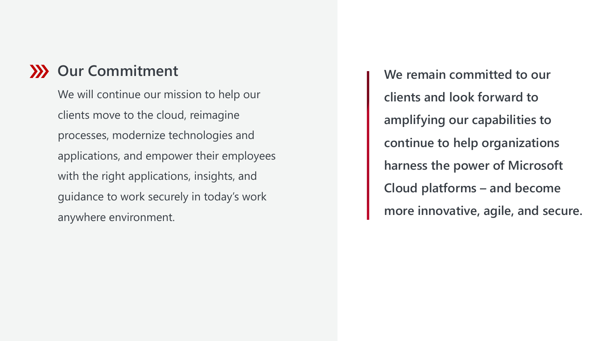## **XX** Our Commitment

We will continue our mission to help our clients move to the cloud, reimagine processes, modernize technologies and applications, and empower their employees with the right applications, insights, and guidance to work securely in today's work anywhere environment.

**We remain committed to our clients and look forward to amplifying our capabilities to continue to help organizations harness the power of Microsoft Cloud platforms – and become more innovative, agile, and secure.**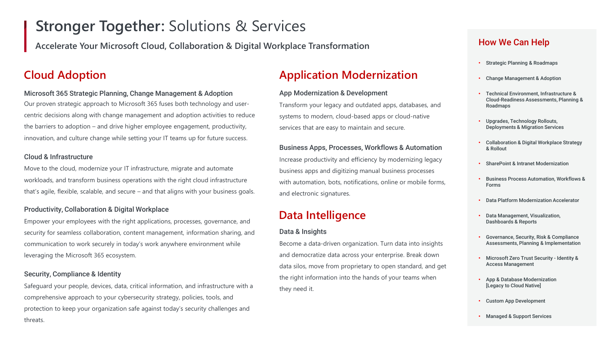## **Stronger Together:** Solutions & Services

**Accelerate Your Microsoft Cloud, Collaboration & Digital Workplace Transformation** 

## Microsoft 365 Strategic Planning, Change Management & Adoption

Our proven strategic approach to Microsoft 365 fuses both technology and usercentric decisions along with change management and adoption activities to reduce the barriers to adoption – and drive higher employee engagement, productivity, innovation, and culture change while setting your IT teams up for future success.

## Cloud & Infrastructure

Move to the cloud, modernize your IT infrastructure, migrate and automate workloads, and transform business operations with the right cloud infrastructure that's agile, flexible, scalable, and secure – and that aligns with your business goals.

## Productivity, Collaboration & Digital Workplace

Empower your employees with the right applications, processes, governance, and security for seamless collaboration, content management, information sharing, and communication to work securely in today's work anywhere environment while leveraging the Microsoft 365 ecosystem.

## Security, Compliance & Identity

Safeguard your people, devices, data, critical information, and infrastructure with a comprehensive approach to your cybersecurity strategy, policies, tools, and protection to keep your organization safe against today's security challenges and threats.

## **Cloud Adoption Application Modernization**

#### App Modernization & Development

Transform your legacy and outdated apps, databases, and systems to modern, cloud-based apps or cloud-native services that are easy to maintain and secure.

#### Business Apps, Processes, Workflows & Automation

Increase productivity and efficiency by modernizing legacy business apps and digitizing manual business processes with automation, bots, notifications, online or mobile forms, and electronic signatures.

## **Data Intelligence**

## Data & Insights

Become a data-driven organization. Turn data into insights and democratize data across your enterprise. Break down data silos, move from proprietary to open standard, and get the right information into the hands of your teams when they need it.

## How We Can Help

- Strategic Planning & Roadmaps
- Change Management & Adoption
- Technical Environment, Infrastructure & Cloud-Readiness Assessments, Planning & Roadmaps
- Upgrades, Technology Rollouts, Deployments & Migration Services
- Collaboration & Digital Workplace Strategy & Rollout
- SharePoint & Intranet Modernization
- Business Process Automation, Workflows & Forms
- Data Platform Modernization Accelerator
- Data Management, Visualization, Dashboards & Reports
- Governance, Security, Risk & Compliance Assessments, Planning & Implementation
- Microsoft Zero Trust Security Identity & Access Management
- App & Database Modernization [Legacy to Cloud Native]
- Custom App Development
- Managed & Support Services